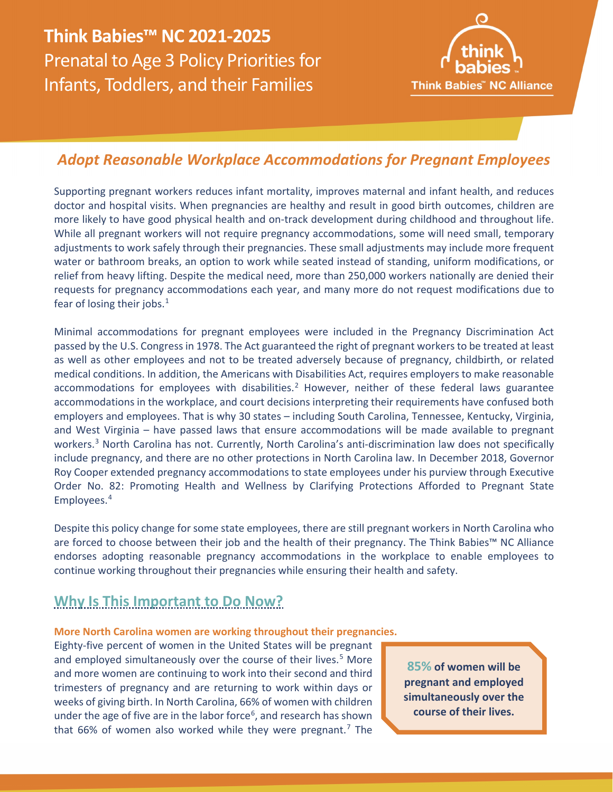**Think Babies™ NC 2021-2025** Prenatal to Age 3 Policy Priorities for Infants, Toddlers, and their Families



# *Adopt Reasonable Workplace Accommodations for Pregnant Employees*

Supporting pregnant workers reduces infant mortality, improves maternal and infant health, and reduces doctor and hospital visits. When pregnancies are healthy and result in good birth outcomes, children are more likely to have good physical health and on-track development during childhood and throughout life. While all pregnant workers will not require pregnancy accommodations, some will need small, temporary adjustments to work safely through their pregnancies. These small adjustments may include more frequent water or bathroom breaks, an option to work while seated instead of standing, uniform modifications, or relief from heavy lifting. Despite the medical need, more than 250,000 workers nationally are denied their requests for pregnancy accommodations each year, and many more do not request modifications due to fear of losing their jobs. $<sup>1</sup>$  $<sup>1</sup>$  $<sup>1</sup>$ </sup>

Minimal accommodations for pregnant employees were included in the Pregnancy Discrimination Act passed by the U.S. Congress in 1978. The Act guaranteed the right of pregnant workers to be treated at least as well as other employees and not to be treated adversely because of pregnancy, childbirth, or related medical conditions. In addition, the Americans with Disabilities Act, requires employers to make reasonable accommodations for employees with disabilities.<sup>[2](#page-2-1)</sup> However, neither of these federal laws guarantee accommodations in the workplace, and court decisions interpreting their requirements have confused both employers and employees. That is why 30 states – including South Carolina, Tennessee, Kentucky, Virginia, and West Virginia – have passed laws that ensure accommodations will be made available to pregnant workers.<sup>[3](#page-2-2)</sup> North Carolina has not. Currently, North Carolina's anti-discrimination law does not specifically include pregnancy, and there are no other protections in North Carolina law. In December 2018, Governor Roy Cooper extended pregnancy accommodations to state employees under his purview through Executive Order No. 82: Promoting Health and Wellness by Clarifying Protections Afforded to Pregnant State Employees.[4](#page-2-3)

Despite this policy change for some state employees, there are still pregnant workers in North Carolina who are forced to choose between their job and the health of their pregnancy. The Think Babies™ NC Alliance endorses adopting reasonable pregnancy accommodations in the workplace to enable employees to continue working throughout their pregnancies while ensuring their health and safety.

# **Why Is This Important to Do Now?**

## **More North Carolina women are working throughout their pregnancies.**

Eighty-five percent of women in the United States will be pregnant and employed simultaneously over the course of their lives.<sup>[5](#page-2-4)</sup> More and more women are continuing to work into their second and third trimesters of pregnancy and are returning to work within days or weeks of giving birth. In North Carolina, 66% of women with children under the age of five are in the labor force<sup>[6](#page-2-5)</sup>, and research has shown that 66% of women also worked while they were pregnant.<sup>[7](#page-2-6)</sup> The

**85% of women will be pregnant and employed simultaneously over the course of their lives.**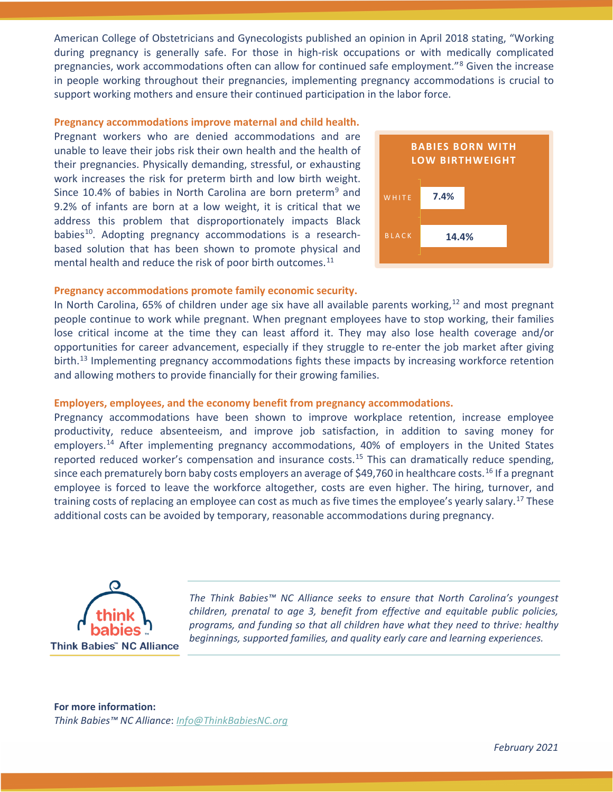American College of Obstetricians and Gynecologists published an opinion in April 2018 stating, "Working during pregnancy is generally safe. For those in high-risk occupations or with medically complicated pregnancies, work accommodations often can allow for continued safe employment."<sup>[8](#page-2-7)</sup> Given the increase in people working throughout their pregnancies, implementing pregnancy accommodations is crucial to support working mothers and ensure their continued participation in the labor force.

#### **Pregnancy accommodations improve maternal and child health.**

Pregnant workers who are denied accommodations and are unable to leave their jobs risk their own health and the health of their pregnancies. Physically demanding, stressful, or exhausting work increases the risk for preterm birth and low birth weight. Since 10.4% of babies in North Carolina are born preterm<sup>[9](#page-2-8)</sup> and 9.2% of infants are born at a low weight, it is critical that we address this problem that disproportionately impacts Black babies<sup>10</sup>. Adopting pregnancy accommodations is a researchbased solution that has been shown to promote physical and mental health and reduce the risk of poor birth outcomes.<sup>[11](#page-2-10)</sup>



### **Pregnancy accommodations promote family economic security.**

In North Carolina, 65% of children under age six have all available parents working,  $12$  and most pregnant people continue to work while pregnant. When pregnant employees have to stop working, their families lose critical income at the time they can least afford it. They may also lose health coverage and/or opportunities for career advancement, especially if they struggle to re-enter the job market after giving birth.<sup>[13](#page-2-12)</sup> Implementing pregnancy accommodations fights these impacts by increasing workforce retention and allowing mothers to provide financially for their growing families.

#### **Employers, employees, and the economy benefit from pregnancy accommodations.**

Pregnancy accommodations have been shown to improve workplace retention, increase employee productivity, reduce absenteeism, and improve job satisfaction, in addition to saving money for employers.<sup>14</sup> After implementing pregnancy accommodations, 40% of employers in the United States reported reduced worker's compensation and insurance costs.<sup>[15](#page-2-14)</sup> This can dramatically reduce spending, since each prematurely born baby costs employers an average of \$49,760 in healthcare costs.<sup>[16](#page-2-15)</sup> If a pregnant employee is forced to leave the workforce altogether, costs are even higher. The hiring, turnover, and training costs of replacing an employee can cost as much as five times the employee's yearly salary.<sup>[17](#page-2-16)</sup> These additional costs can be avoided by temporary, reasonable accommodations during pregnancy.



*The Think Babies™ NC Alliance seeks to ensure that North Carolina's youngest children, prenatal to age 3, benefit from effective and equitable public policies, programs, and funding so that all children have what they need to thrive: healthy beginnings, supported families, and quality early care and learning experiences.*

**For more information:** *Think Babies™ NC Alliance*: *[Info@ThinkBabiesNC.org](mailto:info@thinkbabiesnc.org)*